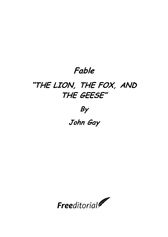## **Fable**

## **"THE LION, THE FOX, AND THE GEESE"**

## **By**

## **John Gay**

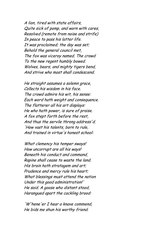A lion, tired with state affairs, Quite sick of pomp, and worn with cares, Resolved (remote from noise and strife) In peace to pass his latter life. It was proclaimed; the day was set; Behold the general council met, The fox was viceroy named. The crowd To the new regent humbly bowed. Wolves, bears, and mighty tigers bend, And strive who most shall condescend.

He straight assumes a solemn grace, Collects his wisdom in his face. The crowd admire his wit, his sense: Each word hath weight and consequence. The flatterer all his art displays: He who hath power, is sure of praise. A fox stept forth before the rest, And thus the servile throng address'd. 'How vast his talents, born to rule, And trained in virtue's honest school:

What clemency his temper sways! How uncorrupt are all his ways! Beneath his conduct and command, Rapine shall cease to waste the land. His brain hath stratagem and art; Prudence and mercy rule his heart; What blessings must attend the nation Under this good administration!' He said. A goose who distant stood, Harangued apart the cackling brood:

'W'hene'er I hear a knave commend, He bids me shun his worthy friend.